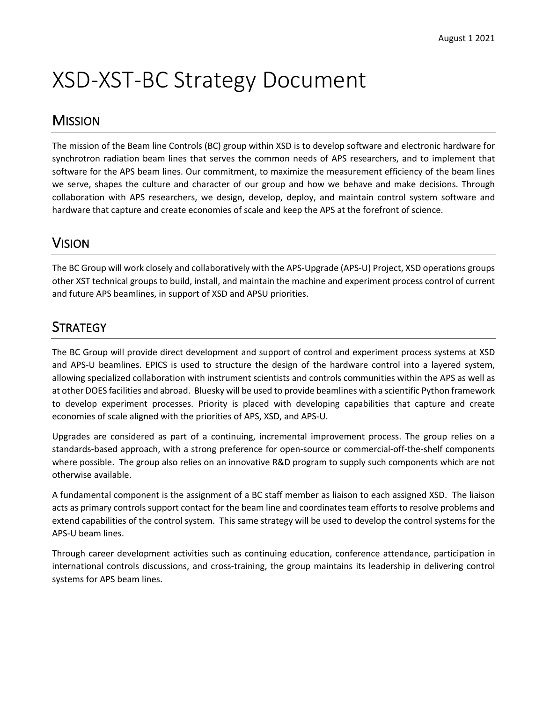# XSD-XST-BC Strategy Document

#### **MISSION**

The mission of the Beam line Controls (BC) group within XSD is to develop software and electronic hardware for synchrotron radiation beam lines that serves the common needs of APS researchers, and to implement that software for the APS beam lines. Our commitment, to maximize the measurement efficiency of the beam lines we serve, shapes the culture and character of our group and how we behave and make decisions. Through collaboration with APS researchers, we design, develop, deploy, and maintain control system software and hardware that capture and create economies of scale and keep the APS at the forefront of science.

#### VISION

The BC Group will work closely and collaboratively with the APS-Upgrade (APS-U) Project, XSD operations groups other XST technical groups to build, install, and maintain the machine and experiment process control of current and future APS beamlines, in support of XSD and APSU priorities.

#### **STRATEGY**

The BC Group will provide direct development and support of control and experiment process systems at XSD and APS-U beamlines. EPICS is used to structure the design of the hardware control into a layered system, allowing specialized collaboration with instrument scientists and controls communities within the APS as well as at other DOES facilities and abroad. Bluesky will be used to provide beamlines with a scientific Python framework to develop experiment processes. Priority is placed with developing capabilities that capture and create economies of scale aligned with the priorities of APS, XSD, and APS-U.

Upgrades are considered as part of a continuing, incremental improvement process. The group relies on a standards-based approach, with a strong preference for open-source or commercial-off-the-shelf components where possible. The group also relies on an innovative R&D program to supply such components which are not otherwise available.

A fundamental component is the assignment of a BC staff member as liaison to each assigned XSD. The liaison acts as primary controls support contact for the beam line and coordinates team efforts to resolve problems and extend capabilities of the control system. This same strategy will be used to develop the control systems for the APS-U beam lines.

Through career development activities such as continuing education, conference attendance, participation in international controls discussions, and cross-training, the group maintains its leadership in delivering control systems for APS beam lines.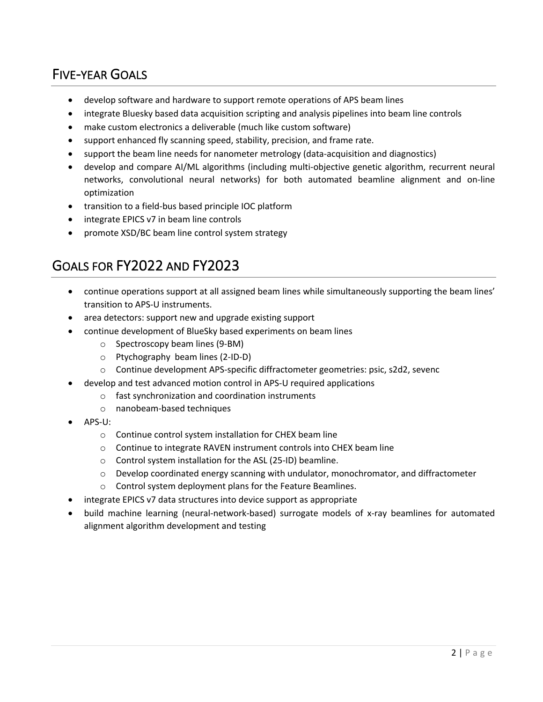### FIVE-YEAR GOALS

- develop software and hardware to support remote operations of APS beam lines
- integrate Bluesky based data acquisition scripting and analysis pipelines into beam line controls
- make custom electronics a deliverable (much like custom software)
- support enhanced fly scanning speed, stability, precision, and frame rate.
- support the beam line needs for nanometer metrology (data-acquisition and diagnostics)
- develop and compare AI/ML algorithms (including multi-objective genetic algorithm, recurrent neural networks, convolutional neural networks) for both automated beamline alignment and on-line optimization
- transition to a field-bus based principle IOC platform
- integrate EPICS v7 in beam line controls
- promote XSD/BC beam line control system strategy

#### GOALS FOR FY2022 AND FY2023

- continue operations support at all assigned beam lines while simultaneously supporting the beam lines' transition to APS-U instruments.
- area detectors: support new and upgrade existing support
- continue development of BlueSky based experiments on beam lines
	- o Spectroscopy beam lines (9-BM)
	- o Ptychography beam lines (2-ID-D)
	- o Continue development APS-specific diffractometer geometries: psic, s2d2, sevenc
- develop and test advanced motion control in APS-U required applications
	- o fast synchronization and coordination instruments
	- o nanobeam-based techniques
- APS-U:
	- o Continue control system installation for CHEX beam line
	- o Continue to integrate RAVEN instrument controls into CHEX beam line
	- o Control system installation for the ASL (25-ID) beamline.
	- $\circ$  Develop coordinated energy scanning with undulator, monochromator, and diffractometer
	- o Control system deployment plans for the Feature Beamlines.
- integrate EPICS v7 data structures into device support as appropriate
- build machine learning (neural-network-based) surrogate models of x-ray beamlines for automated alignment algorithm development and testing